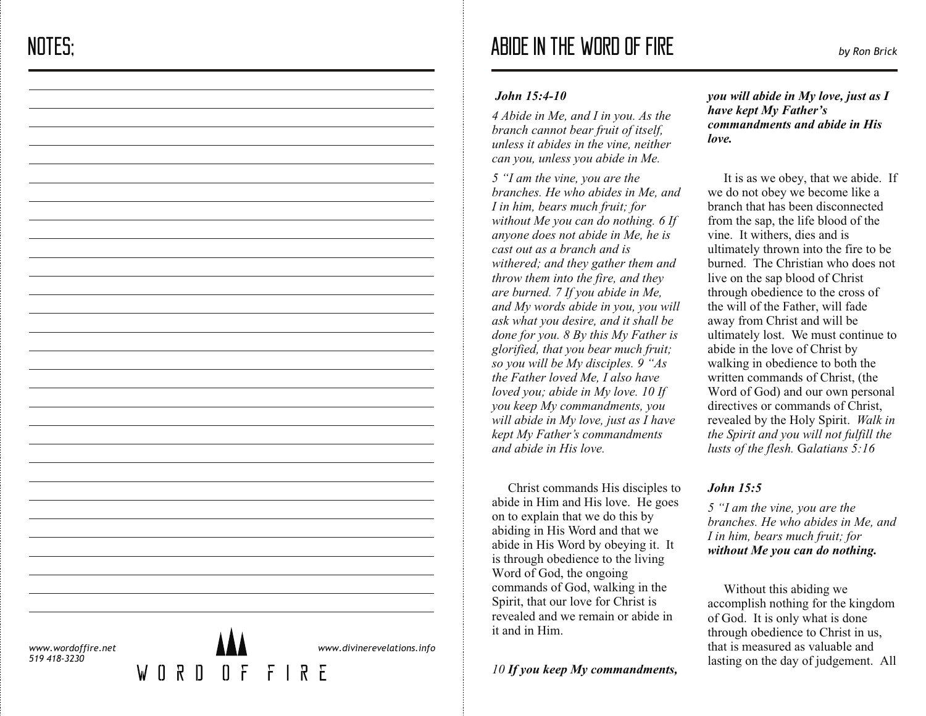# *John 15:4-10*

*4 Abide in Me, and I in you. As the branch cannot bear fruit of itself, unless it abides in the vine, neither can you, unless you abide in Me.*

*5 "I am the vine, you are the branches. He who abides in Me, and I in him, bears much fruit; for without Me you can do nothing. 6 If anyone does not abide in Me, he is cast out as a branch and is withered; and they gather them and throw them into the fire, and they are burned. 7 If you abide in Me, and My words abide in you, you will ask what you desire, and it shall be done for you. 8 By this My Father is glorified, that you bear much fruit; so you will be My disciples. 9 "As the Father loved Me, I also have loved you; abide in My love. 10 If you keep My commandments, you will abide in My love, just as I have kept My Father's commandments and abide in His love.*

 Christ commands His disciples to abide in Him and His love. He goes on to explain that we do this by abiding in His Word and that we abide in His Word by obeying it. It is through obedience to the living Word of God, the ongoing commands of God, walking in the Spirit, that our love for Christ is revealed and we remain or abide in it and in Him.

# *10 If you keep My commandments,*

*you will abide in My love, just as I have kept My Father's commandments and abide in His love.*

 It is as we obey, that we abide. If we do not obey we become like a branch that has been disconnected from the sap, the life blood of the vine. It withers, dies and is ultimately thrown into the fire to be burned. The Christian who does not live on the sap blood of Christ through obedience to the cross of the will of the Father, will fade away from Christ and will be ultimately lost. We must continue to abide in the love of Christ by walking in obedience to both the written commands of Christ, (the Word of God) and our own personal directives or commands of Christ, revealed by the Holy Spirit. *Walk in the Spirit and you will not fulfill the lusts of the flesh.*  G*alatians 5:16*

# *John 15:5*

*5 "I am the vine, you are the branches. He who abides in Me, and I in him, bears much fruit; for without Me you can do nothing.*

 Without this abiding we accomplish nothing for the kingdom of God. It is only what is done through obedience to Christ in us, that is measured as valuable and lasting on the day of judgement. All

*www.wordoffire.net 519 418-3230*

 $\mathsf{M}$ 



*www.divinerevelations.info*